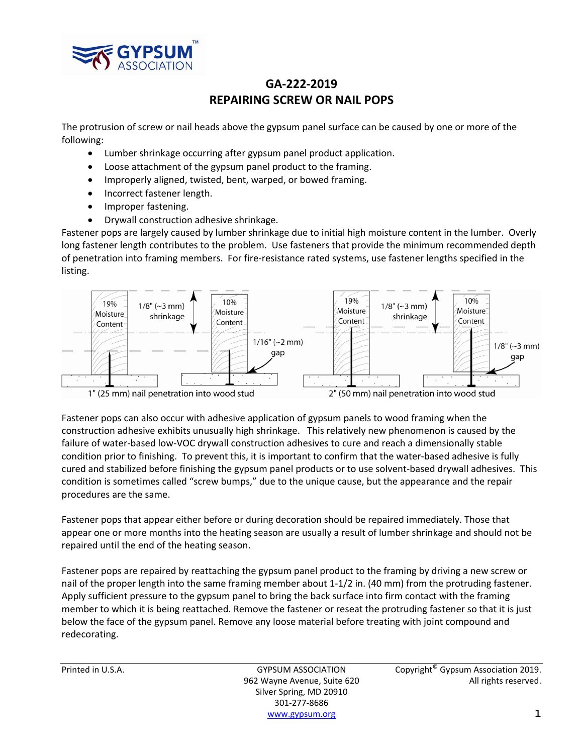

## **GA‐222‐2019 REPAIRING SCREW OR NAIL POPS**

The protrusion of screw or nail heads above the gypsum panel surface can be caused by one or more of the following:

- Lumber shrinkage occurring after gypsum panel product application.
- Loose attachment of the gypsum panel product to the framing.
- Improperly aligned, twisted, bent, warped, or bowed framing.
- Incorrect fastener length.
- Improper fastening.
- Drywall construction adhesive shrinkage.

Fastener pops are largely caused by lumber shrinkage due to initial high moisture content in the lumber. Overly long fastener length contributes to the problem. Use fasteners that provide the minimum recommended depth of penetration into framing members. For fire‐resistance rated systems, use fastener lengths specified in the listing.



1" (25 mm) nail penetration into wood stud

2" (50 mm) nail penetration into wood stud

Fastener pops can also occur with adhesive application of gypsum panels to wood framing when the construction adhesive exhibits unusually high shrinkage. This relatively new phenomenon is caused by the failure of water‐based low‐VOC drywall construction adhesives to cure and reach a dimensionally stable condition prior to finishing. To prevent this, it is important to confirm that the water-based adhesive is fully cured and stabilized before finishing the gypsum panel products or to use solvent‐based drywall adhesives. This condition is sometimes called "screw bumps," due to the unique cause, but the appearance and the repair procedures are the same.

Fastener pops that appear either before or during decoration should be repaired immediately. Those that appear one or more months into the heating season are usually a result of lumber shrinkage and should not be repaired until the end of the heating season.

Fastener pops are repaired by reattaching the gypsum panel product to the framing by driving a new screw or nail of the proper length into the same framing member about 1-1/2 in. (40 mm) from the protruding fastener. Apply sufficient pressure to the gypsum panel to bring the back surface into firm contact with the framing member to which it is being reattached. Remove the fastener or reseat the protruding fastener so that it is just below the face of the gypsum panel. Remove any loose material before treating with joint compound and redecorating.

Silver Spring, MD 20910 301‐277‐8686 www.gypsum.org **1**